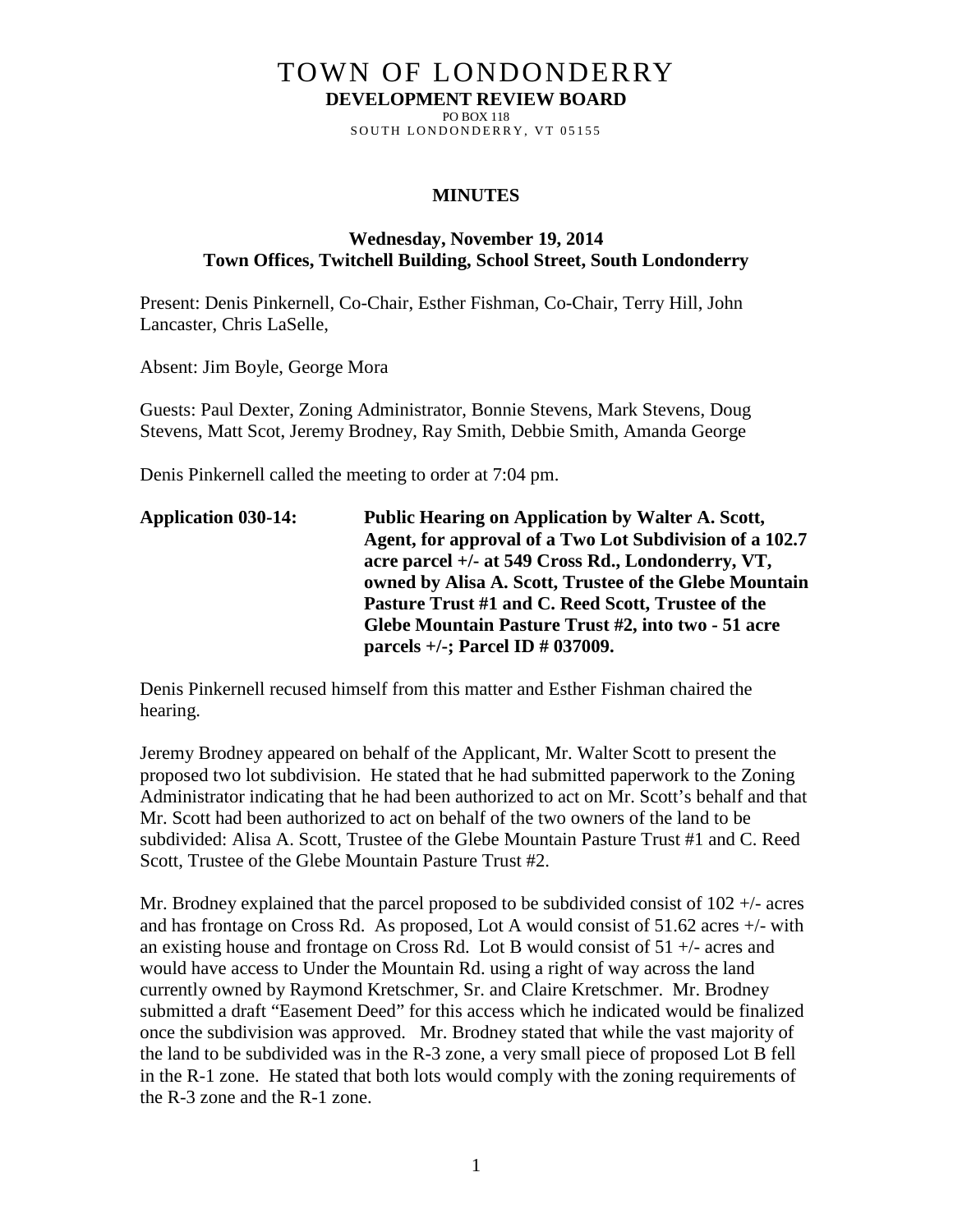# TOWN OF LONDONDERRY

**DEVELOPMENT REVIEW BOARD** PO BOX 118

SOUTH LONDONDERRY, VT 05155

#### **MINUTES**

### **Wednesday, November 19, 2014 Town Offices, Twitchell Building, School Street, South Londonderry**

Present: Denis Pinkernell, Co-Chair, Esther Fishman, Co-Chair, Terry Hill, John Lancaster, Chris LaSelle,

Absent: Jim Boyle, George Mora

Guests: Paul Dexter, Zoning Administrator, Bonnie Stevens, Mark Stevens, Doug Stevens, Matt Scot, Jeremy Brodney, Ray Smith, Debbie Smith, Amanda George

Denis Pinkernell called the meeting to order at 7:04 pm.

| <b>Application 030-14:</b> | <b>Public Hearing on Application by Walter A. Scott,</b> |
|----------------------------|----------------------------------------------------------|
|                            | Agent, for approval of a Two Lot Subdivision of a 102.7  |
|                            | acre parcel +/- at 549 Cross Rd., Londonderry, VT,       |
|                            | owned by Alisa A. Scott, Trustee of the Glebe Mountain   |
|                            | Pasture Trust #1 and C. Reed Scott, Trustee of the       |
|                            | Glebe Mountain Pasture Trust #2, into two - 51 acre      |
|                            | parcels $+/-$ ; Parcel ID $\#$ 037009.                   |

Denis Pinkernell recused himself from this matter and Esther Fishman chaired the hearing.

Jeremy Brodney appeared on behalf of the Applicant, Mr. Walter Scott to present the proposed two lot subdivision. He stated that he had submitted paperwork to the Zoning Administrator indicating that he had been authorized to act on Mr. Scott's behalf and that Mr. Scott had been authorized to act on behalf of the two owners of the land to be subdivided: Alisa A. Scott, Trustee of the Glebe Mountain Pasture Trust #1 and C. Reed Scott, Trustee of the Glebe Mountain Pasture Trust #2.

Mr. Brodney explained that the parcel proposed to be subdivided consist of 102 +/- acres and has frontage on Cross Rd. As proposed, Lot A would consist of 51.62 acres +/- with an existing house and frontage on Cross Rd. Lot B would consist of 51 +/- acres and would have access to Under the Mountain Rd. using a right of way across the land currently owned by Raymond Kretschmer, Sr. and Claire Kretschmer. Mr. Brodney submitted a draft "Easement Deed" for this access which he indicated would be finalized once the subdivision was approved. Mr. Brodney stated that while the vast majority of the land to be subdivided was in the R-3 zone, a very small piece of proposed Lot B fell in the R-1 zone. He stated that both lots would comply with the zoning requirements of the R-3 zone and the R-1 zone.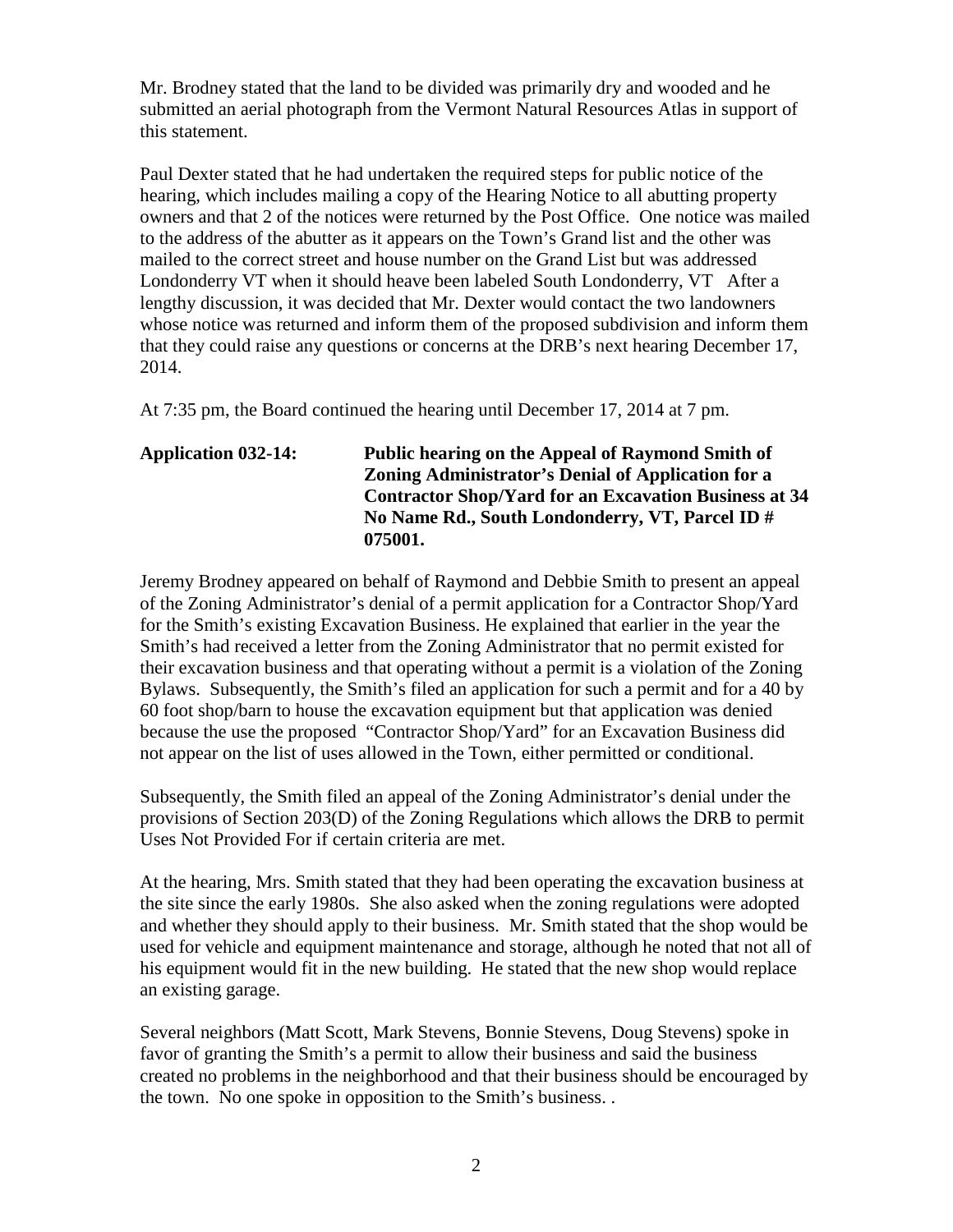Mr. Brodney stated that the land to be divided was primarily dry and wooded and he submitted an aerial photograph from the Vermont Natural Resources Atlas in support of this statement.

Paul Dexter stated that he had undertaken the required steps for public notice of the hearing, which includes mailing a copy of the Hearing Notice to all abutting property owners and that 2 of the notices were returned by the Post Office. One notice was mailed to the address of the abutter as it appears on the Town's Grand list and the other was mailed to the correct street and house number on the Grand List but was addressed Londonderry VT when it should heave been labeled South Londonderry, VT After a lengthy discussion, it was decided that Mr. Dexter would contact the two landowners whose notice was returned and inform them of the proposed subdivision and inform them that they could raise any questions or concerns at the DRB's next hearing December 17, 2014.

At 7:35 pm, the Board continued the hearing until December 17, 2014 at 7 pm.

# **Application 032-14: Public hearing on the Appeal of Raymond Smith of Zoning Administrator's Denial of Application for a Contractor Shop/Yard for an Excavation Business at 34 No Name Rd., South Londonderry, VT, Parcel ID # 075001.**

Jeremy Brodney appeared on behalf of Raymond and Debbie Smith to present an appeal of the Zoning Administrator's denial of a permit application for a Contractor Shop/Yard for the Smith's existing Excavation Business. He explained that earlier in the year the Smith's had received a letter from the Zoning Administrator that no permit existed for their excavation business and that operating without a permit is a violation of the Zoning Bylaws. Subsequently, the Smith's filed an application for such a permit and for a 40 by 60 foot shop/barn to house the excavation equipment but that application was denied because the use the proposed "Contractor Shop/Yard" for an Excavation Business did not appear on the list of uses allowed in the Town, either permitted or conditional.

Subsequently, the Smith filed an appeal of the Zoning Administrator's denial under the provisions of Section 203(D) of the Zoning Regulations which allows the DRB to permit Uses Not Provided For if certain criteria are met.

At the hearing, Mrs. Smith stated that they had been operating the excavation business at the site since the early 1980s. She also asked when the zoning regulations were adopted and whether they should apply to their business. Mr. Smith stated that the shop would be used for vehicle and equipment maintenance and storage, although he noted that not all of his equipment would fit in the new building. He stated that the new shop would replace an existing garage.

Several neighbors (Matt Scott, Mark Stevens, Bonnie Stevens, Doug Stevens) spoke in favor of granting the Smith's a permit to allow their business and said the business created no problems in the neighborhood and that their business should be encouraged by the town. No one spoke in opposition to the Smith's business. .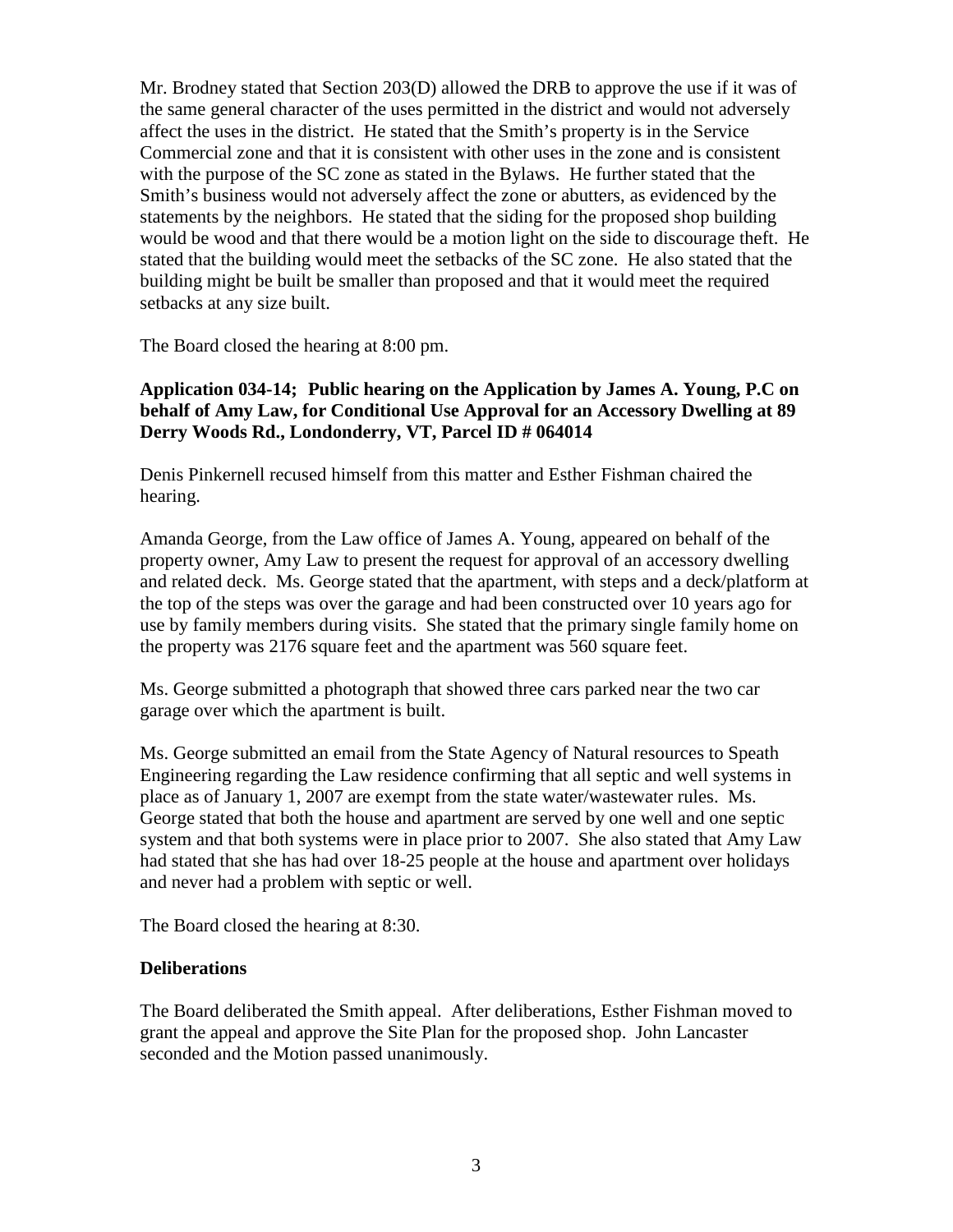Mr. Brodney stated that Section 203(D) allowed the DRB to approve the use if it was of the same general character of the uses permitted in the district and would not adversely affect the uses in the district. He stated that the Smith's property is in the Service Commercial zone and that it is consistent with other uses in the zone and is consistent with the purpose of the SC zone as stated in the Bylaws. He further stated that the Smith's business would not adversely affect the zone or abutters, as evidenced by the statements by the neighbors. He stated that the siding for the proposed shop building would be wood and that there would be a motion light on the side to discourage theft. He stated that the building would meet the setbacks of the SC zone. He also stated that the building might be built be smaller than proposed and that it would meet the required setbacks at any size built.

The Board closed the hearing at 8:00 pm.

## **Application 034-14; Public hearing on the Application by James A. Young, P.C on behalf of Amy Law, for Conditional Use Approval for an Accessory Dwelling at 89 Derry Woods Rd., Londonderry, VT, Parcel ID # 064014**

Denis Pinkernell recused himself from this matter and Esther Fishman chaired the hearing.

Amanda George, from the Law office of James A. Young, appeared on behalf of the property owner, Amy Law to present the request for approval of an accessory dwelling and related deck. Ms. George stated that the apartment, with steps and a deck/platform at the top of the steps was over the garage and had been constructed over 10 years ago for use by family members during visits. She stated that the primary single family home on the property was 2176 square feet and the apartment was 560 square feet.

Ms. George submitted a photograph that showed three cars parked near the two car garage over which the apartment is built.

Ms. George submitted an email from the State Agency of Natural resources to Speath Engineering regarding the Law residence confirming that all septic and well systems in place as of January 1, 2007 are exempt from the state water/wastewater rules. Ms. George stated that both the house and apartment are served by one well and one septic system and that both systems were in place prior to 2007. She also stated that Amy Law had stated that she has had over 18-25 people at the house and apartment over holidays and never had a problem with septic or well.

The Board closed the hearing at 8:30.

## **Deliberations**

The Board deliberated the Smith appeal. After deliberations, Esther Fishman moved to grant the appeal and approve the Site Plan for the proposed shop. John Lancaster seconded and the Motion passed unanimously.